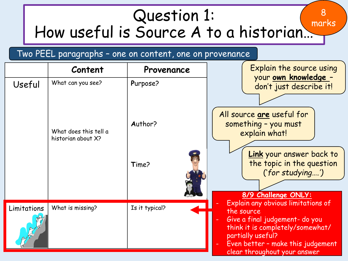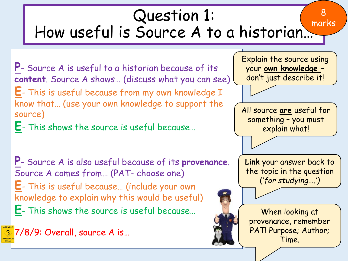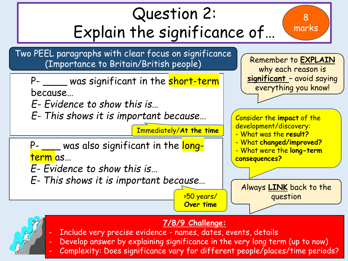

### **7/8/9 Challenge:**

- Include very precise evidence names, dates, events, details
- Develop answer by explaining significance in the very long term (up to now)
- Complexity: Does significance vary for different people/places/time periods?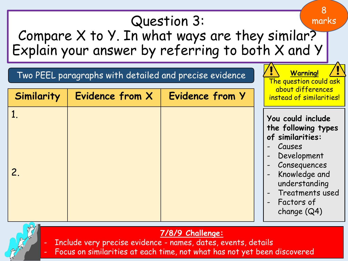



**7/8/9 Challenge:** Include very precise evidence - names, dates, events, details

Focus on similarities at each time, not what has not yet been discovered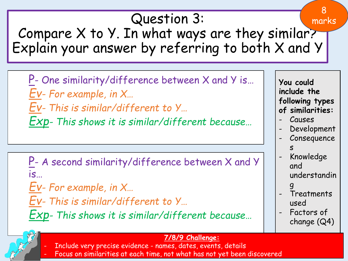# Question 3:

Compare X to Y. In what ways are they similar? Explain your answer by referring to both X and Y

P - One similarity/difference between X and Y is... *Ev- For example, in X…*

*Ev- This is similar/different to Y…*

*Exp- This shows it is similar/different because…*

P- A second similarity/difference between X and Y is…

*Ev- For example, in X…*

*Ev- This is similar/different to Y…*

*Exp- This shows it is similar/different because…*

**You could include the following types of similarities: Causes Development Consequence** s - Knowledge and understandin g **Treatments** 

8

marks

- used
- Factors of change (Q4)

#### **7/8/9 Challenge:**

- Include very precise evidence names, dates, events, details
- Focus on similarities at each time, not what has not yet been discovered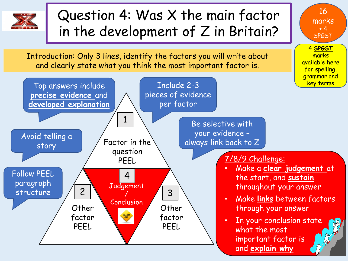